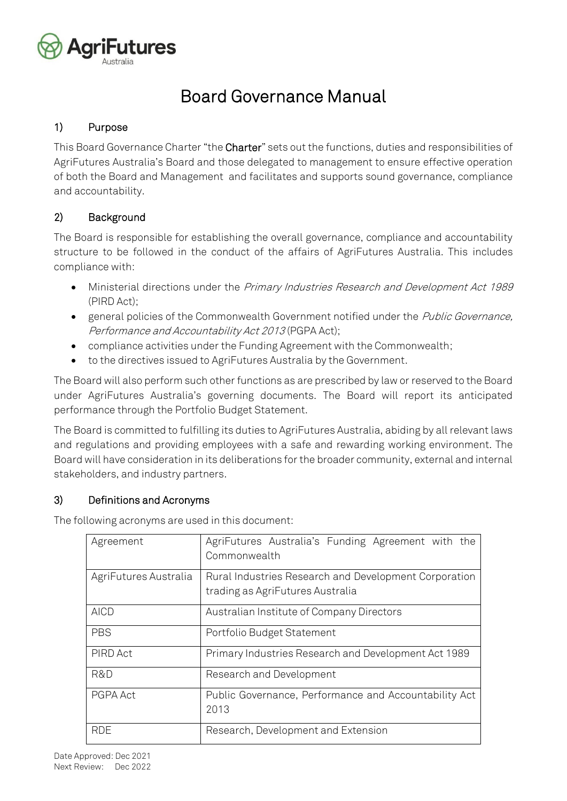

# Board Governance Manual

# 1) Purpose

This Board Governance Charter "the Charter" sets out the functions, duties and responsibilities of AgriFutures Australia's Board and those delegated to management to ensure effective operation of both the Board and Management and facilitates and supports sound governance, compliance and accountability.

# 2) Background

The Board is responsible for establishing the overall governance, compliance and accountability structure to be followed in the conduct of the affairs of AgriFutures Australia. This includes compliance with:

- Ministerial directions under the Primary Industries Research and Development Act 1989 (PIRD Act);
- general policies of the Commonwealth Government notified under the Public Governance, Performance and Accountability Act 2013 (PGPA Act);
- compliance activities under the Funding Agreement with the Commonwealth;
- to the directives issued to AgriFutures Australia by the Government.

The Board will also perform such other functions as are prescribed by law or reserved to the Board under AgriFutures Australia's governing documents. The Board will report its anticipated performance through the Portfolio Budget Statement.

The Board is committed to fulfilling its duties to AgriFutures Australia, abiding by all relevant laws and regulations and providing employees with a safe and rewarding working environment. The Board will have consideration in its deliberations for the broader community, external and internal stakeholders, and industry partners.

# 3) Definitions and Acronyms

The following acronyms are used in this document:

| Agreement             | AgriFutures Australia's Funding Agreement with the<br>Commonwealth |  |
|-----------------------|--------------------------------------------------------------------|--|
| AgriFutures Australia | Rural Industries Research and Development Corporation              |  |
|                       | trading as AgriFutures Australia                                   |  |
| AICD                  | Australian Institute of Company Directors                          |  |
| <b>PBS</b>            | Portfolio Budget Statement                                         |  |
| PIRD Act              | Primary Industries Research and Development Act 1989               |  |
| R&D                   | Research and Development                                           |  |
| PGPA Act              | Public Governance, Performance and Accountability Act              |  |
|                       | 2013                                                               |  |
| RDF                   | Research, Development and Extension                                |  |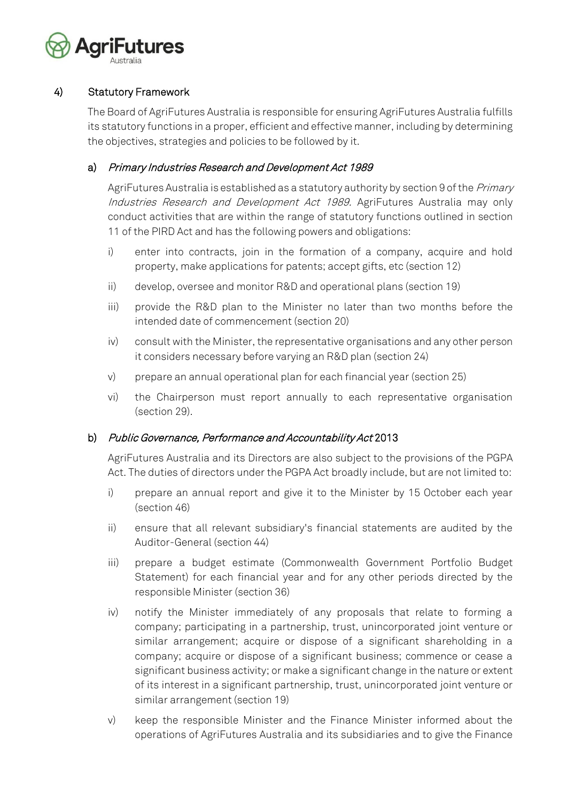

# 4) Statutory Framework

The Board of AgriFutures Australia is responsible for ensuring AgriFutures Australia fulfills its statutory functions in a proper, efficient and effective manner, including by determining the objectives, strategies and policies to be followed by it.

# a) Primary Industries Research and Development Act 1989

AgriFutures Australia is established as a statutory authority by section 9 of the Primary Industries Research and Development Act 1989. AgriFutures Australia may only conduct activities that are within the range of statutory functions outlined in section 11 of the PIRD Act and has the following powers and obligations:

- i) enter into contracts, join in the formation of a company, acquire and hold property, make applications for patents; accept gifts, etc (section 12)
- ii) develop, oversee and monitor R&D and operational plans (section 19)
- iii) provide the R&D plan to the Minister no later than two months before the intended date of commencement (section 20)
- iv) consult with the Minister, the representative organisations and any other person it considers necessary before varying an R&D plan (section 24)
- v) prepare an annual operational plan for each financial year (section 25)
- vi) the Chairperson must report annually to each representative organisation (section 29).

# b) Public Governance, Performance and Accountability Act 2013

AgriFutures Australia and its Directors are also subject to the provisions of the PGPA Act. The duties of directors under the PGPA Act broadly include, but are not limited to:

- i) prepare an annual report and give it to the Minister by 15 October each year (section 46)
- ii) ensure that all relevant subsidiary's financial statements are audited by the Auditor-General (section 44)
- iii) prepare a budget estimate (Commonwealth Government Portfolio Budget Statement) for each financial year and for any other periods directed by the responsible Minister (section 36)
- iv) notify the Minister immediately of any proposals that relate to forming a company; participating in a partnership, trust, unincorporated joint venture or similar arrangement; acquire or dispose of a significant shareholding in a company; acquire or dispose of a significant business; commence or cease a significant business activity; or make a significant change in the nature or extent of its interest in a significant partnership, trust, unincorporated joint venture or similar arrangement (section 19)
- v) keep the responsible Minister and the Finance Minister informed about the operations of AgriFutures Australia and its subsidiaries and to give the Finance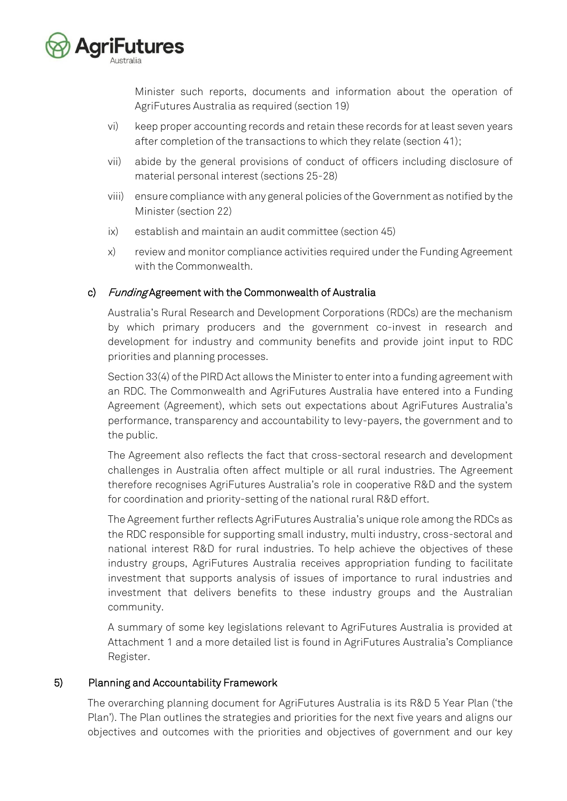

Minister such reports, documents and information about the operation of AgriFutures Australia as required (section 19)

- vi) keep proper accounting records and retain these records for at least seven years after completion of the transactions to which they relate (section 41);
- vii) abide by the general provisions of conduct of officers including disclosure of material personal interest (sections 25-28)
- viii) ensure compliance with any general policies of the Government as notified by the Minister (section 22)
- ix) establish and maintain an audit committee (section 45)
- x) review and monitor compliance activities required under the Funding Agreement with the Commonwealth.

# c) Funding Agreement with the Commonwealth of Australia

Australia's Rural Research and Development Corporations (RDCs) are the mechanism by which primary producers and the government co-invest in research and development for industry and community benefits and provide joint input to RDC priorities and planning processes.

Section 33(4) of the PIRD Act allows the Minister to enter into a funding agreement with an RDC. The Commonwealth and AgriFutures Australia have entered into a Funding Agreement (Agreement), which sets out expectations about AgriFutures Australia's performance, transparency and accountability to levy-payers, the government and to the public.

The Agreement also reflects the fact that cross-sectoral research and development challenges in Australia often affect multiple or all rural industries. The Agreement therefore recognises AgriFutures Australia's role in cooperative R&D and the system for coordination and priority-setting of the national rural R&D effort.

The Agreement further reflects AgriFutures Australia's unique role among the RDCs as the RDC responsible for supporting small industry, multi industry, cross-sectoral and national interest R&D for rural industries. To help achieve the objectives of these industry groups, AgriFutures Australia receives appropriation funding to facilitate investment that supports analysis of issues of importance to rural industries and investment that delivers benefits to these industry groups and the Australian community.

A summary of some key legislations relevant to AgriFutures Australia is provided at Attachment 1 and a more detailed list is found in AgriFutures Australia's Compliance Register.

# 5) Planning and Accountability Framework

The overarching planning document for AgriFutures Australia is its R&D 5 Year Plan ('the Plan'). The Plan outlines the strategies and priorities for the next five years and aligns our objectives and outcomes with the priorities and objectives of government and our key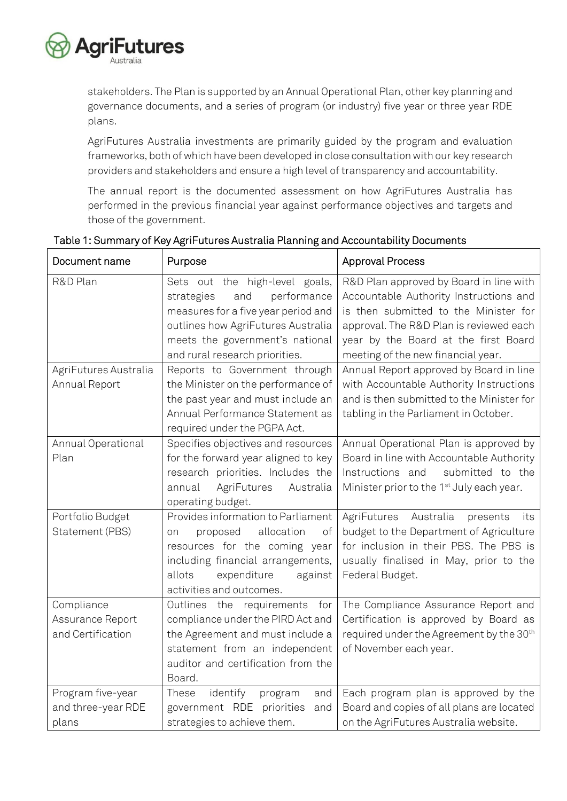

stakeholders. The Plan is supported by an Annual Operational Plan, other key planning and governance documents, and a series of program (or industry) five year or three year RDE plans.

AgriFutures Australia investments are primarily guided by the program and evaluation frameworks, both of which have been developed in close consultation with our key research providers and stakeholders and ensure a high level of transparency and accountability.

The annual report is the documented assessment on how AgriFutures Australia has performed in the previous financial year against performance objectives and targets and those of the government.

| Document name         | Purpose                             | <b>Approval Process</b>                               |
|-----------------------|-------------------------------------|-------------------------------------------------------|
| R&D Plan              | Sets out the high-level goals,      | R&D Plan approved by Board in line with               |
|                       | and<br>performance<br>strategies    | Accountable Authority Instructions and                |
|                       | measures for a five year period and | is then submitted to the Minister for                 |
|                       | outlines how AgriFutures Australia  | approval. The R&D Plan is reviewed each               |
|                       | meets the government's national     | year by the Board at the first Board                  |
|                       | and rural research priorities.      | meeting of the new financial year.                    |
| AgriFutures Australia | Reports to Government through       | Annual Report approved by Board in line               |
| Annual Report         | the Minister on the performance of  | with Accountable Authority Instructions               |
|                       | the past year and must include an   | and is then submitted to the Minister for             |
|                       | Annual Performance Statement as     | tabling in the Parliament in October.                 |
|                       | required under the PGPA Act.        |                                                       |
| Annual Operational    | Specifies objectives and resources  | Annual Operational Plan is approved by                |
| Plan                  | for the forward year aligned to key | Board in line with Accountable Authority              |
|                       | research priorities. Includes the   | Instructions and<br>submitted to the                  |
|                       | AgriFutures<br>Australia<br>annual  | Minister prior to the 1 <sup>st</sup> July each year. |
|                       | operating budget.                   |                                                       |
| Portfolio Budget      | Provides information to Parliament  | AgriFutures Australia<br>presents<br>its              |
| Statement (PBS)       | allocation<br>of<br>proposed<br>on  | budget to the Department of Agriculture               |
|                       | resources for the coming year       | for inclusion in their PBS. The PBS is                |
|                       | including financial arrangements,   | usually finalised in May, prior to the                |
|                       | allots<br>expenditure<br>against    | Federal Budget.                                       |
|                       | activities and outcomes.            |                                                       |
| Compliance            | Outlines the requirements<br>for    | The Compliance Assurance Report and                   |
| Assurance Report      | compliance under the PIRD Act and   | Certification is approved by Board as                 |
| and Certification     | the Agreement and must include a    | required under the Agreement by the 30 <sup>th</sup>  |
|                       | statement from an independent       | of November each year.                                |
|                       | auditor and certification from the  |                                                       |
|                       | Board.                              |                                                       |
| Program five-year     | identify<br>These<br>program<br>and | Each program plan is approved by the                  |
| and three-year RDE    | government RDE priorities<br>and    | Board and copies of all plans are located             |
| plans                 | strategies to achieve them.         | on the AgriFutures Australia website.                 |

# Table 1: Summary of Key AgriFutures Australia Planning and Accountability Documents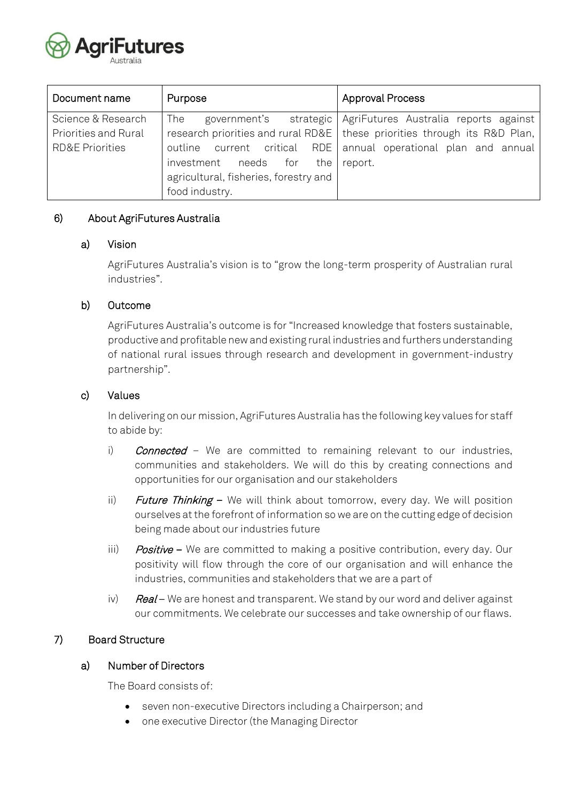

| Document name              | Purpose                               | <b>Approval Process</b>                                                     |
|----------------------------|---------------------------------------|-----------------------------------------------------------------------------|
| Science & Research         | The<br>government's                   | strategic AgriFutures Australia reports against                             |
| Priorities and Rural       |                                       | research priorities and rural RD&E   these priorities through its R&D Plan, |
| <b>RD&amp;E Priorities</b> |                                       | outline current critical RDE annual operational plan and annual             |
|                            | investment needs for the report.      |                                                                             |
|                            | agricultural, fisheries, forestry and |                                                                             |
|                            | food industry.                        |                                                                             |

# 6) About AgriFutures Australia

#### a) Vision

AgriFutures Australia's vision is to "grow the long-term prosperity of Australian rural industries".

#### b) Outcome

AgriFutures Australia's outcome is for "Increased knowledge that fosters sustainable, productive and profitable new and existing rural industries and furthers understanding of national rural issues through research and development in government-industry partnership".

#### c) Values

In delivering on our mission, AgriFutures Australia has the following key values for staff to abide by:

- i) **Connected** We are committed to remaining relevant to our industries, communities and stakeholders. We will do this by creating connections and opportunities for our organisation and our stakeholders
- ii) Future Thinking  $-$  We will think about tomorrow, every day. We will position ourselves at the forefront of information so we are on the cutting edge of decision being made about our industries future
- iii) Positive We are committed to making a positive contribution, every day. Our positivity will flow through the core of our organisation and will enhance the industries, communities and stakeholders that we are a part of
- iv)  $Real We$  are honest and transparent. We stand by our word and deliver against our commitments. We celebrate our successes and take ownership of our flaws.

# 7) Board Structure

#### a) Number of Directors

The Board consists of:

- seven non-executive Directors including a Chairperson; and
- one executive Director (the Managing Director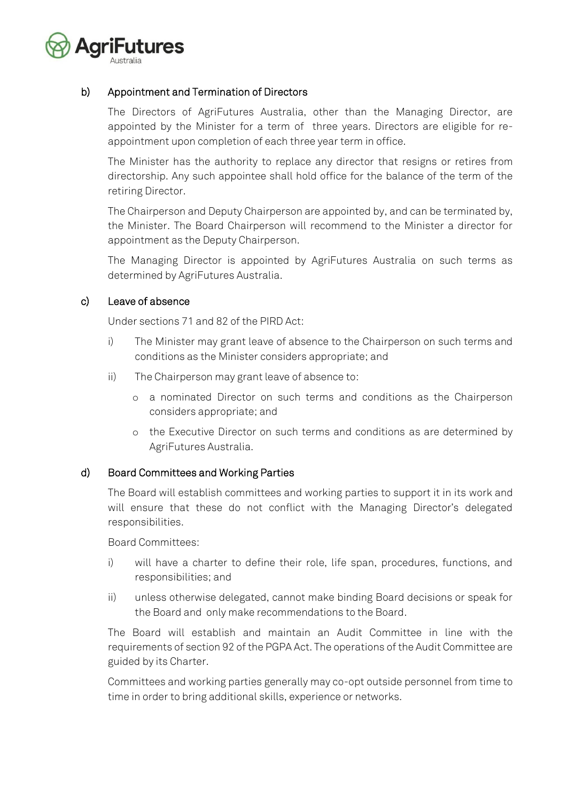

# b) Appointment and Termination of Directors

The Directors of AgriFutures Australia, other than the Managing Director, are appointed by the Minister for a term of three years. Directors are eligible for reappointment upon completion of each three year term in office.

The Minister has the authority to replace any director that resigns or retires from directorship. Any such appointee shall hold office for the balance of the term of the retiring Director.

The Chairperson and Deputy Chairperson are appointed by, and can be terminated by, the Minister. The Board Chairperson will recommend to the Minister a director for appointment as the Deputy Chairperson.

The Managing Director is appointed by AgriFutures Australia on such terms as determined by AgriFutures Australia.

#### c) Leave of absence

Under sections 71 and 82 of the PIRD Act:

- i) The Minister may grant leave of absence to the Chairperson on such terms and conditions as the Minister considers appropriate; and
- ii) The Chairperson may grant leave of absence to:
	- o a nominated Director on such terms and conditions as the Chairperson considers appropriate; and
	- o the Executive Director on such terms and conditions as are determined by AgriFutures Australia.

# d) Board Committees and Working Parties

The Board will establish committees and working parties to support it in its work and will ensure that these do not conflict with the Managing Director's delegated responsibilities.

Board Committees:

- i) will have a charter to define their role, life span, procedures, functions, and responsibilities; and
- ii) unless otherwise delegated, cannot make binding Board decisions or speak for the Board and only make recommendations to the Board.

The Board will establish and maintain an Audit Committee in line with the requirements of section 92 of the PGPA Act. The operations of the Audit Committee are guided by its Charter.

Committees and working parties generally may co-opt outside personnel from time to time in order to bring additional skills, experience or networks.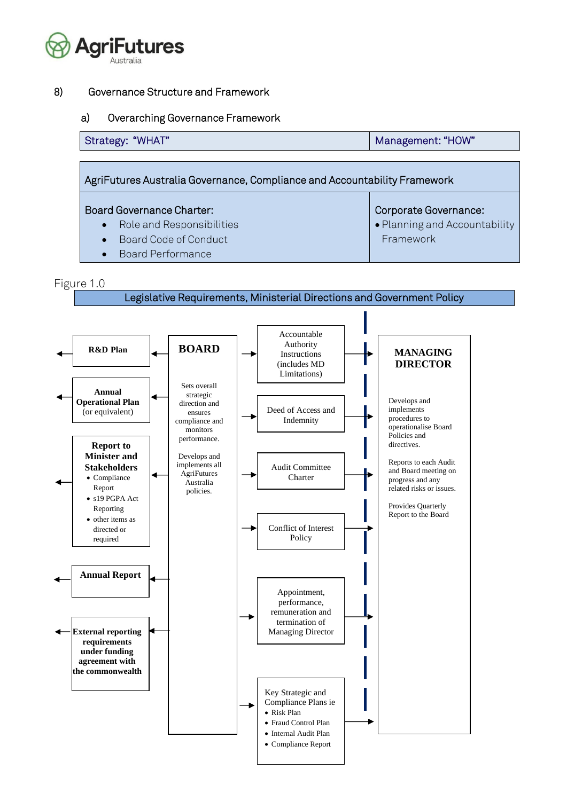

#### 8) Governance Structure and Framework

#### a) Overarching Governance Framework

| Management: "HOW"                                                         |
|---------------------------------------------------------------------------|
|                                                                           |
| AgriFutures Australia Governance, Compliance and Accountability Framework |
|                                                                           |

# Board Governance Charter:

- Role and Responsibilities
- Board Code of Conduct

• Planning and Accountability Framework

Corporate Governance:

• Board Performance

# Figure 1.0



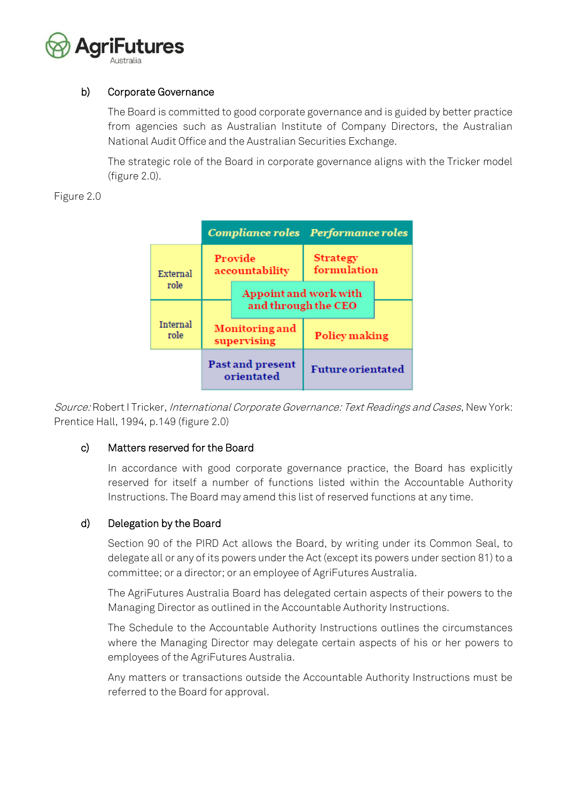

# b) Corporate Governance

The Board is committed to good corporate governance and is guided by better practice from agencies such as Australian Institute of Company Directors, the Australian National Audit Office and the Australian Securities Exchange.

The strategic role of the Board in corporate governance aligns with the Tricker model (figure 2.0).

Figure 2.0



Source: Robert I Tricker, *International Corporate Governance: Text Readings and Cases*, New York: Prentice Hall, 1994, p.149 (figure 2.0)

# c) Matters reserved for the Board

In accordance with good corporate governance practice, the Board has explicitly reserved for itself a number of functions listed within the Accountable Authority Instructions. The Board may amend this list of reserved functions at any time.

# d) Delegation by the Board

Section 90 of the PIRD Act allows the Board, by writing under its Common Seal, to delegate all or any of its powers under the Act (except its powers under section 81) to a committee; or a director; or an employee of AgriFutures Australia.

The AgriFutures Australia Board has delegated certain aspects of their powers to the Managing Director as outlined in the Accountable Authority Instructions.

The Schedule to the Accountable Authority Instructions outlines the circumstances where the Managing Director may delegate certain aspects of his or her powers to employees of the AgriFutures Australia.

Any matters or transactions outside the Accountable Authority Instructions must be referred to the Board for approval.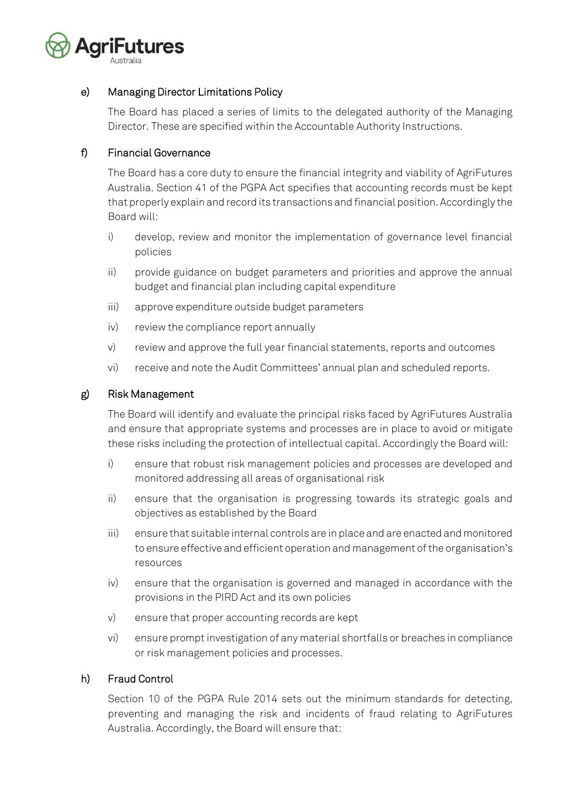

# e) Managing Director Limitations Policy

The Board has placed a series of limits to the delegated authority of the Managing Director. These are specified within the Accountable Authority Instructions.

# f) Financial Governance

The Board has a core duty to ensure the financial integrity and viability of AgriFutures Australia. Section 41 of the PGPA Act specifies that accounting records must be kept that properly explain and record its transactions and financial position. Accordingly the Board will:

- i) develop, review and monitor the implementation of governance level financial policies
- ii) provide guidance on budget parameters and priorities and approve the annual budget and financial plan including capital expenditure
- iii) approve expenditure outside budget parameters
- iv) review the compliance report annually
- v) review and approve the full year financial statements, reports and outcomes
- vi) receive and note the Audit Committees' annual plan and scheduled reports.

# g) Risk Management

The Board will identify and evaluate the principal risks faced by AgriFutures Australia and ensure that appropriate systems and processes are in place to avoid or mitigate these risks including the protection of intellectual capital. Accordingly the Board will:

- i) ensure that robust risk management policies and processes are developed and monitored addressing all areas of organisational risk
- ii) ensure that the organisation is progressing towards its strategic goals and objectives as established by the Board
- iii) ensure that suitable internal controls are in place and are enacted and monitored to ensure effective and efficient operation and management of the organisation's resources
- iv) ensure that the organisation is governed and managed in accordance with the provisions in the PIRD Act and its own policies
- v) ensure that proper accounting records are kept
- vi) ensure prompt investigation of any material shortfalls or breaches in compliance or risk management policies and processes.

# h) Fraud Control

Section 10 of the PGPA Rule 2014 sets out the minimum standards for detecting, preventing and managing the risk and incidents of fraud relating to AgriFutures Australia. Accordingly, the Board will ensure that: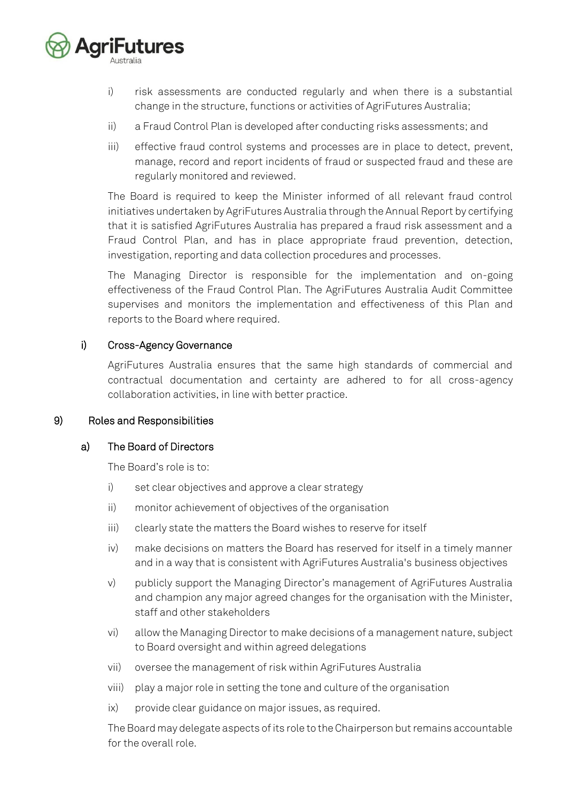

- i) risk assessments are conducted regularly and when there is a substantial change in the structure, functions or activities of AgriFutures Australia;
- ii) a Fraud Control Plan is developed after conducting risks assessments; and
- iii) effective fraud control systems and processes are in place to detect, prevent, manage, record and report incidents of fraud or suspected fraud and these are regularly monitored and reviewed.

The Board is required to keep the Minister informed of all relevant fraud control initiatives undertaken by AgriFutures Australia through the Annual Report by certifying that it is satisfied AgriFutures Australia has prepared a fraud risk assessment and a Fraud Control Plan, and has in place appropriate fraud prevention, detection, investigation, reporting and data collection procedures and processes.

The Managing Director is responsible for the implementation and on-going effectiveness of the Fraud Control Plan. The AgriFutures Australia Audit Committee supervises and monitors the implementation and effectiveness of this Plan and reports to the Board where required.

# i) Cross-Agency Governance

AgriFutures Australia ensures that the same high standards of commercial and contractual documentation and certainty are adhered to for all cross-agency collaboration activities, in line with better practice.

# 9) Roles and Responsibilities

#### a) The Board of Directors

The Board's role is to:

- i) set clear objectives and approve a clear strategy
- ii) monitor achievement of objectives of the organisation
- iii) clearly state the matters the Board wishes to reserve for itself
- iv) make decisions on matters the Board has reserved for itself in a timely manner and in a way that is consistent with AgriFutures Australia's business objectives
- v) publicly support the Managing Director's management of AgriFutures Australia and champion any major agreed changes for the organisation with the Minister, staff and other stakeholders
- vi) allow the Managing Director to make decisions of a management nature, subject to Board oversight and within agreed delegations
- vii) oversee the management of risk within AgriFutures Australia
- viii) play a major role in setting the tone and culture of the organisation
- ix) provide clear guidance on major issues, as required.

The Board may delegate aspects of its role to the Chairperson but remains accountable for the overall role.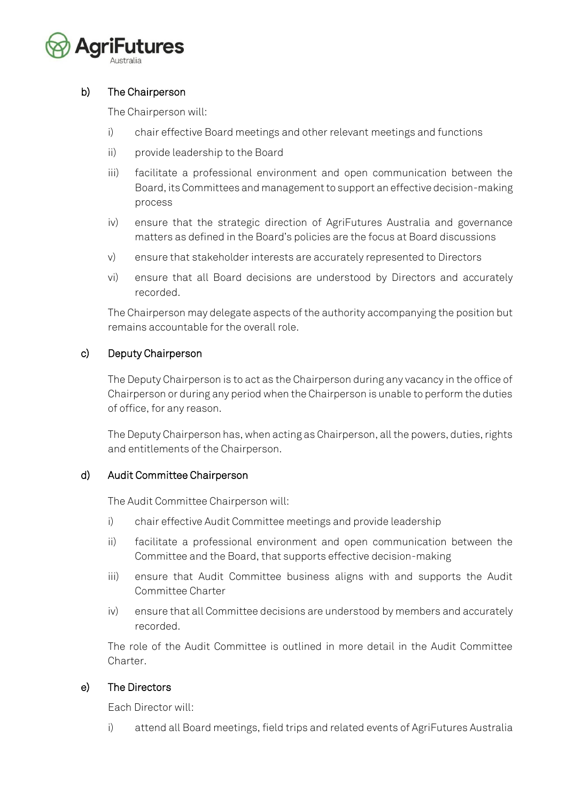

# b) The Chairperson

The Chairperson will:

- i) chair effective Board meetings and other relevant meetings and functions
- ii) provide leadership to the Board
- iii) facilitate a professional environment and open communication between the Board, its Committees and management to support an effective decision-making process
- iv) ensure that the strategic direction of AgriFutures Australia and governance matters as defined in the Board's policies are the focus at Board discussions
- v) ensure that stakeholder interests are accurately represented to Directors
- vi) ensure that all Board decisions are understood by Directors and accurately recorded.

The Chairperson may delegate aspects of the authority accompanying the position but remains accountable for the overall role.

# c) Deputy Chairperson

The Deputy Chairperson is to act as the Chairperson during any vacancy in the office of Chairperson or during any period when the Chairperson is unable to perform the duties of office, for any reason.

The Deputy Chairperson has, when acting as Chairperson, all the powers, duties, rights and entitlements of the Chairperson.

# d) Audit Committee Chairperson

The Audit Committee Chairperson will:

- i) chair effective Audit Committee meetings and provide leadership
- ii) facilitate a professional environment and open communication between the Committee and the Board, that supports effective decision-making
- iii) ensure that Audit Committee business aligns with and supports the Audit Committee Charter
- iv) ensure that all Committee decisions are understood by members and accurately recorded.

The role of the Audit Committee is outlined in more detail in the Audit Committee Charter.

# e) The Directors

Each Director will:

i) attend all Board meetings, field trips and related events of AgriFutures Australia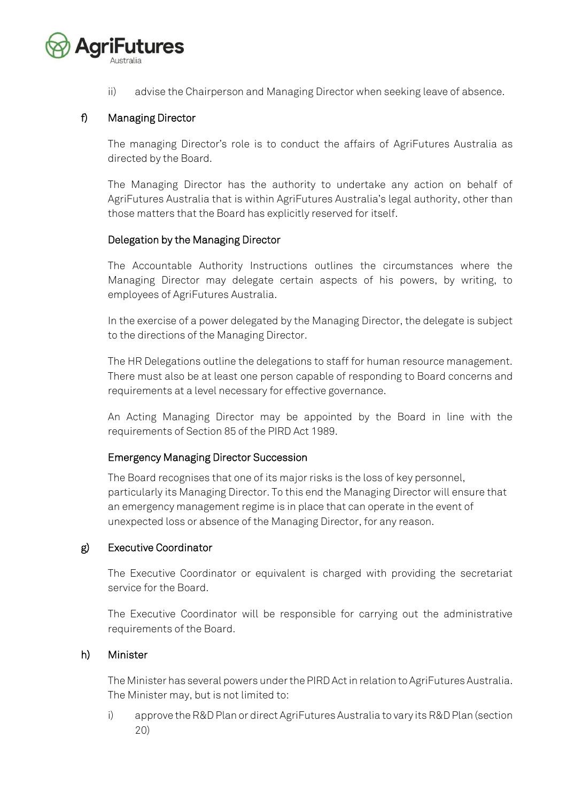

ii) advise the Chairperson and Managing Director when seeking leave of absence.

# f) Managing Director

The managing Director's role is to conduct the affairs of AgriFutures Australia as directed by the Board.

The Managing Director has the authority to undertake any action on behalf of AgriFutures Australia that is within AgriFutures Australia's legal authority, other than those matters that the Board has explicitly reserved for itself.

#### Delegation by the Managing Director

The Accountable Authority Instructions outlines the circumstances where the Managing Director may delegate certain aspects of his powers, by writing, to employees of AgriFutures Australia.

In the exercise of a power delegated by the Managing Director, the delegate is subject to the directions of the Managing Director.

The HR Delegations outline the delegations to staff for human resource management. There must also be at least one person capable of responding to Board concerns and requirements at a level necessary for effective governance.

An Acting Managing Director may be appointed by the Board in line with the requirements of Section 85 of the PIRD Act 1989.

# Emergency Managing Director Succession

The Board recognises that one of its major risks is the loss of key personnel, particularly its Managing Director. To this end the Managing Director will ensure that an emergency management regime is in place that can operate in the event of unexpected loss or absence of the Managing Director, for any reason.

# g) Executive Coordinator

The Executive Coordinator or equivalent is charged with providing the secretariat service for the Board.

The Executive Coordinator will be responsible for carrying out the administrative requirements of the Board.

#### h) Minister

The Minister has several powers under the PIRD Act in relation to AgriFutures Australia. The Minister may, but is not limited to:

i) approve the R&D Plan or direct AgriFutures Australia to vary its R&D Plan (section 20)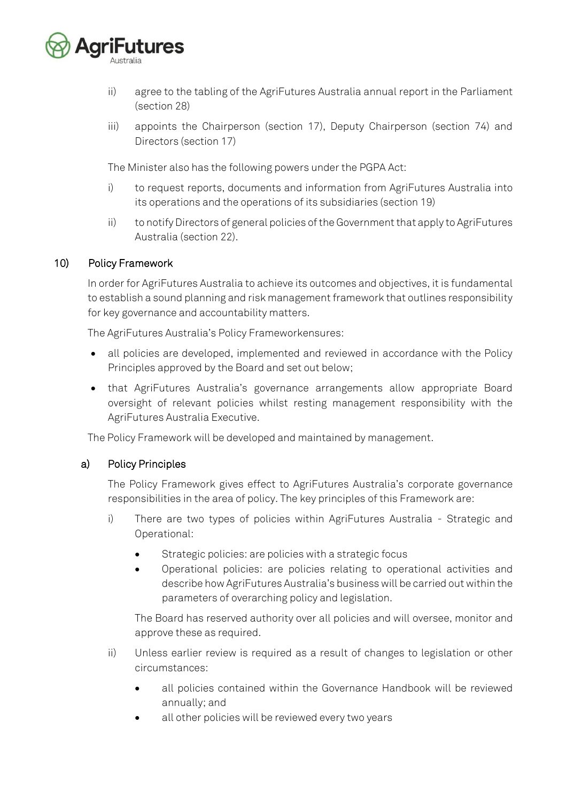

- ii) agree to the tabling of the AgriFutures Australia annual report in the Parliament (section 28)
- iii) appoints the Chairperson (section 17), Deputy Chairperson (section 74) and Directors (section 17)

The Minister also has the following powers under the PGPA Act:

- i) to request reports, documents and information from AgriFutures Australia into its operations and the operations of its subsidiaries (section 19)
- ii) to notify Directors of general policies of the Government that apply to AgriFutures Australia (section 22).

# 10) Policy Framework

In order for AgriFutures Australia to achieve its outcomes and objectives, it is fundamental to establish a sound planning and risk management framework that outlines responsibility for key governance and accountability matters.

The AgriFutures Australia's Policy Frameworkensures:

- all policies are developed, implemented and reviewed in accordance with the Policy Principles approved by the Board and set out below;
- that AgriFutures Australia's governance arrangements allow appropriate Board oversight of relevant policies whilst resting management responsibility with the AgriFutures Australia Executive.

The Policy Framework will be developed and maintained by management.

#### a) Policy Principles

The Policy Framework gives effect to AgriFutures Australia's corporate governance responsibilities in the area of policy. The key principles of this Framework are:

- i) There are two types of policies within AgriFutures Australia Strategic and Operational:
	- Strategic policies: are policies with a strategic focus
	- Operational policies: are policies relating to operational activities and describe how AgriFutures Australia's business will be carried out within the parameters of overarching policy and legislation.

The Board has reserved authority over all policies and will oversee, monitor and approve these as required.

- ii) Unless earlier review is required as a result of changes to legislation or other circumstances:
	- all policies contained within the Governance Handbook will be reviewed annually; and
	- all other policies will be reviewed every two years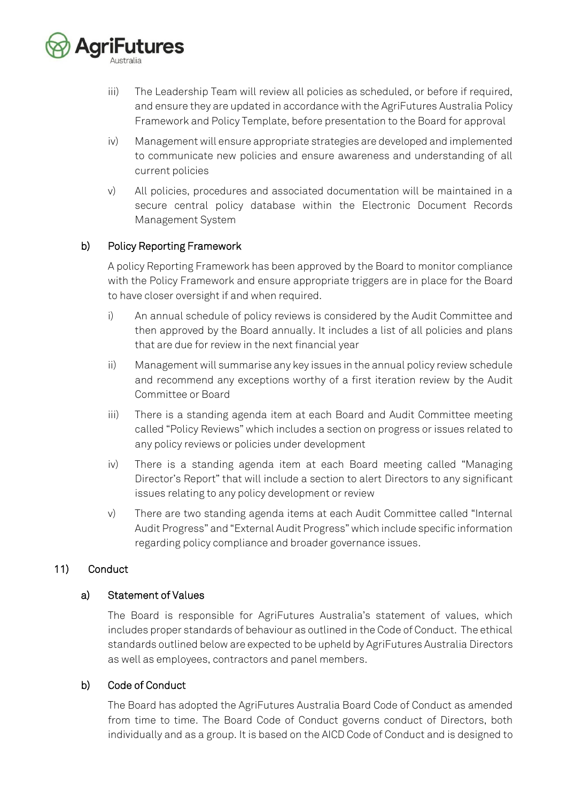

- iii) The Leadership Team will review all policies as scheduled, or before if required, and ensure they are updated in accordance with the AgriFutures Australia Policy Framework and Policy Template, before presentation to the Board for approval
- iv) Management will ensure appropriate strategies are developed and implemented to communicate new policies and ensure awareness and understanding of all current policies
- v) All policies, procedures and associated documentation will be maintained in a secure central policy database within the Electronic Document Records Management System

# b) Policy Reporting Framework

A policy Reporting Framework has been approved by the Board to monitor compliance with the Policy Framework and ensure appropriate triggers are in place for the Board to have closer oversight if and when required.

- i) An annual schedule of policy reviews is considered by the Audit Committee and then approved by the Board annually. It includes a list of all policies and plans that are due for review in the next financial year
- ii) Management will summarise any key issues in the annual policy review schedule and recommend any exceptions worthy of a first iteration review by the Audit Committee or Board
- iii) There is a standing agenda item at each Board and Audit Committee meeting called "Policy Reviews" which includes a section on progress or issues related to any policy reviews or policies under development
- iv) There is a standing agenda item at each Board meeting called "Managing Director's Report" that will include a section to alert Directors to any significant issues relating to any policy development or review
- v) There are two standing agenda items at each Audit Committee called "Internal Audit Progress" and "External Audit Progress" which include specific information regarding policy compliance and broader governance issues.

# 11) Conduct

#### a) Statement of Values

The Board is responsible for AgriFutures Australia's statement of values, which includes proper standards of behaviour as outlined in the Code of Conduct. The ethical standards outlined below are expected to be upheld by AgriFutures Australia Directors as well as employees, contractors and panel members.

# b) Code of Conduct

The Board has adopted the AgriFutures Australia Board Code of Conduct as amended from time to time. The Board Code of Conduct governs conduct of Directors, both individually and as a group. It is based on the AICD Code of Conduct and is designed to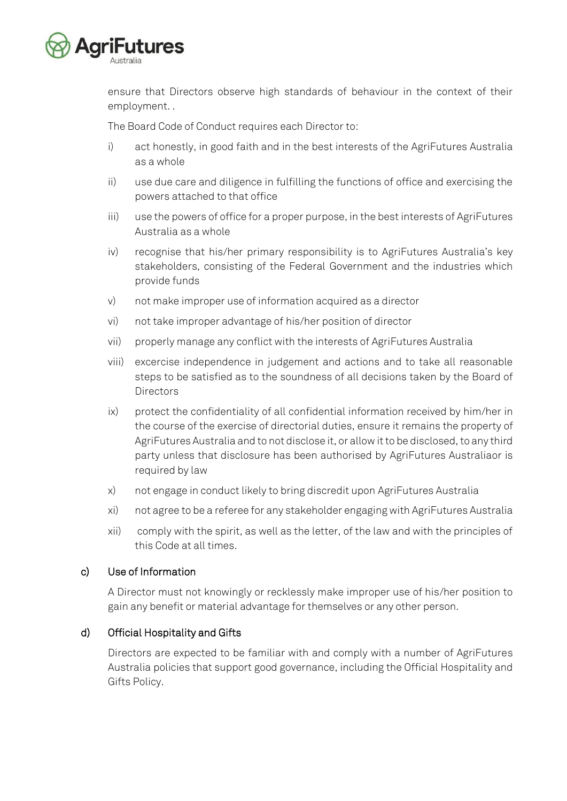

ensure that Directors observe high standards of behaviour in the context of their employment. .

The Board Code of Conduct requires each Director to:

- i) act honestly, in good faith and in the best interests of the AgriFutures Australia as a whole
- ii) use due care and diligence in fulfilling the functions of office and exercising the powers attached to that office
- iii) use the powers of office for a proper purpose, in the best interests of AgriFutures Australia as a whole
- iv) recognise that his/her primary responsibility is to AgriFutures Australia's key stakeholders, consisting of the Federal Government and the industries which provide funds
- v) not make improper use of information acquired as a director
- vi) not take improper advantage of his/her position of director
- vii) properly manage any conflict with the interests of AgriFutures Australia
- viii) excercise independence in judgement and actions and to take all reasonable steps to be satisfied as to the soundness of all decisions taken by the Board of **Directors**
- ix) protect the confidentiality of all confidential information received by him/her in the course of the exercise of directorial duties, ensure it remains the property of AgriFutures Australia and to not disclose it, or allow it to be disclosed, to any third party unless that disclosure has been authorised by AgriFutures Australiaor is required by law
- x) not engage in conduct likely to bring discredit upon AgriFutures Australia
- xi) not agree to be a referee for any stakeholder engaging with AgriFutures Australia
- xii) comply with the spirit, as well as the letter, of the law and with the principles of this Code at all times.

# c) Use of Information

A Director must not knowingly or recklessly make improper use of his/her position to gain any benefit or material advantage for themselves or any other person.

# d) Official Hospitality and Gifts

Directors are expected to be familiar with and comply with a number of AgriFutures Australia policies that support good governance, including the Official Hospitality and Gifts Policy.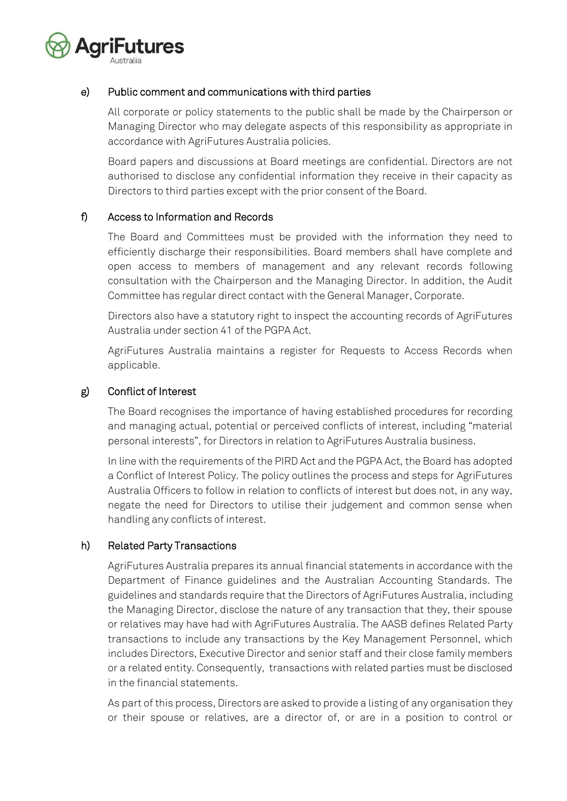

# e) Public comment and communications with third parties

All corporate or policy statements to the public shall be made by the Chairperson or Managing Director who may delegate aspects of this responsibility as appropriate in accordance with AgriFutures Australia policies.

Board papers and discussions at Board meetings are confidential. Directors are not authorised to disclose any confidential information they receive in their capacity as Directors to third parties except with the prior consent of the Board.

#### f) Access to Information and Records

The Board and Committees must be provided with the information they need to efficiently discharge their responsibilities. Board members shall have complete and open access to members of management and any relevant records following consultation with the Chairperson and the Managing Director. In addition, the Audit Committee has regular direct contact with the General Manager, Corporate.

Directors also have a statutory right to inspect the accounting records of AgriFutures Australia under section 41 of the PGPA Act.

AgriFutures Australia maintains a register for Requests to Access Records when applicable.

#### g) Conflict of Interest

The Board recognises the importance of having established procedures for recording and managing actual, potential or perceived conflicts of interest, including "material personal interests", for Directors in relation to AgriFutures Australia business.

In line with the requirements of the PIRD Act and the PGPA Act, the Board has adopted a Conflict of Interest Policy. The policy outlines the process and steps for AgriFutures Australia Officers to follow in relation to conflicts of interest but does not, in any way, negate the need for Directors to utilise their judgement and common sense when handling any conflicts of interest.

#### h) Related Party Transactions

AgriFutures Australia prepares its annual financial statements in accordance with the Department of Finance guidelines and the Australian Accounting Standards. The guidelines and standards require that the Directors of AgriFutures Australia, including the Managing Director, disclose the nature of any transaction that they, their spouse or relatives may have had with AgriFutures Australia. The AASB defines Related Party transactions to include any transactions by the Key Management Personnel, which includes Directors, Executive Director and senior staff and their close family members or a related entity. Consequently, transactions with related parties must be disclosed in the financial statements.

As part of this process, Directors are asked to provide a listing of any organisation they or their spouse or relatives, are a director of, or are in a position to control or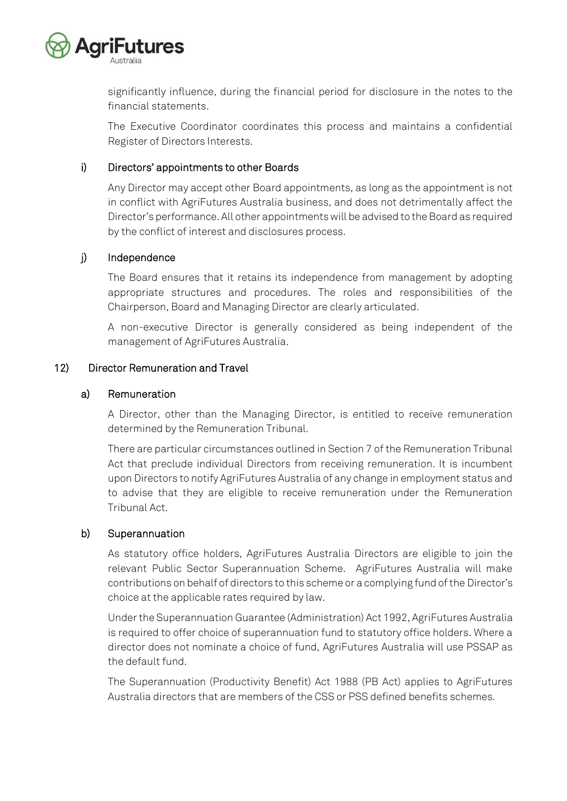

significantly influence, during the financial period for disclosure in the notes to the financial statements.

The Executive Coordinator coordinates this process and maintains a confidential Register of Directors Interests.

#### i) Directors' appointments to other Boards

Any Director may accept other Board appointments, as long as the appointment is not in conflict with AgriFutures Australia business, and does not detrimentally affect the Director's performance. All other appointments will be advised to the Board as required by the conflict of interest and disclosures process.

#### j) Independence

The Board ensures that it retains its independence from management by adopting appropriate structures and procedures. The roles and responsibilities of the Chairperson, Board and Managing Director are clearly articulated.

A non-executive Director is generally considered as being independent of the management of AgriFutures Australia.

#### 12) Director Remuneration and Travel

#### a) Remuneration

A Director, other than the Managing Director, is entitled to receive remuneration determined by the Remuneration Tribunal.

There are particular circumstances outlined in Section 7 of the Remuneration Tribunal Act that preclude individual Directors from receiving remuneration. It is incumbent upon Directors to notify AgriFutures Australia of any change in employment status and to advise that they are eligible to receive remuneration under the Remuneration Tribunal Act.

#### b) Superannuation

As statutory office holders, AgriFutures Australia Directors are eligible to join the relevant Public Sector Superannuation Scheme. AgriFutures Australia will make contributions on behalf of directors to this scheme or a complying fund of the Director's choice at the applicable rates required by law.

Under the Superannuation Guarantee (Administration) Act 1992, AgriFutures Australia is required to offer choice of superannuation fund to statutory office holders. Where a director does not nominate a choice of fund, AgriFutures Australia will use PSSAP as the default fund.

The Superannuation (Productivity Benefit) Act 1988 (PB Act) applies to AgriFutures Australia directors that are members of the CSS or PSS defined benefits schemes.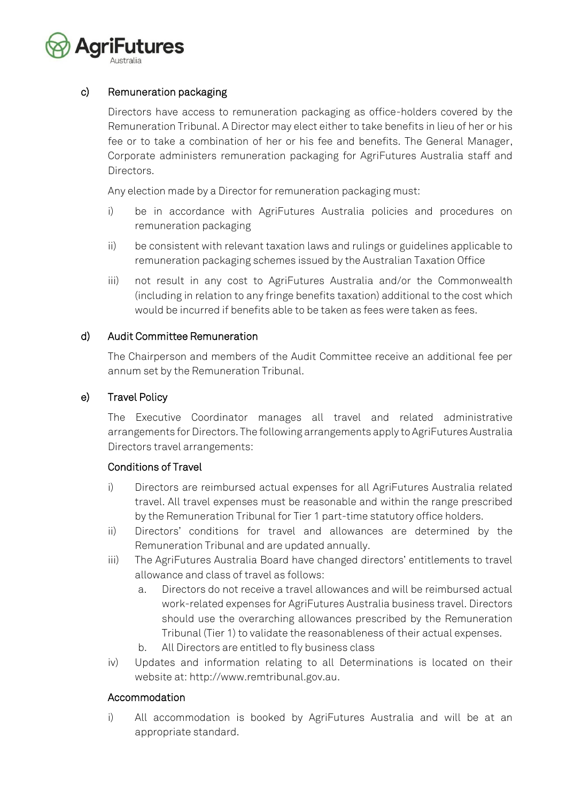

# c) Remuneration packaging

Directors have access to remuneration packaging as office-holders covered by the Remuneration Tribunal. A Director may elect either to take benefits in lieu of her or his fee or to take a combination of her or his fee and benefits. The General Manager, Corporate administers remuneration packaging for AgriFutures Australia staff and Directors.

Any election made by a Director for remuneration packaging must:

- i) be in accordance with AgriFutures Australia policies and procedures on remuneration packaging
- ii) be consistent with relevant taxation laws and rulings or guidelines applicable to remuneration packaging schemes issued by the Australian Taxation Office
- iii) not result in any cost to AgriFutures Australia and/or the Commonwealth (including in relation to any fringe benefits taxation) additional to the cost which would be incurred if benefits able to be taken as fees were taken as fees.

#### d) Audit Committee Remuneration

The Chairperson and members of the Audit Committee receive an additional fee per annum set by the Remuneration Tribunal.

#### e) Travel Policy

The Executive Coordinator manages all travel and related administrative arrangements for Directors. The following arrangements apply to AgriFutures Australia Directors travel arrangements:

# Conditions of Travel

- i) Directors are reimbursed actual expenses for all AgriFutures Australia related travel. All travel expenses must be reasonable and within the range prescribed by the Remuneration Tribunal for Tier 1 part-time statutory office holders.
- ii) Directors' conditions for travel and allowances are determined by the Remuneration Tribunal and are updated annually.
- iii) The AgriFutures Australia Board have changed directors' entitlements to travel allowance and class of travel as follows:
	- a. Directors do not receive a travel allowances and will be reimbursed actual work-related expenses for AgriFutures Australia business travel. Directors should use the overarching allowances prescribed by the Remuneration Tribunal (Tier 1) to validate the reasonableness of their actual expenses.
	- b. All Directors are entitled to fly business class
- iv) Updates and information relating to all Determinations is located on their website at: [http://www.remtribunal.gov.au.](http://www.remtribunal.gov.au/)

#### Accommodation

i) All accommodation is booked by AgriFutures Australia and will be at an appropriate standard.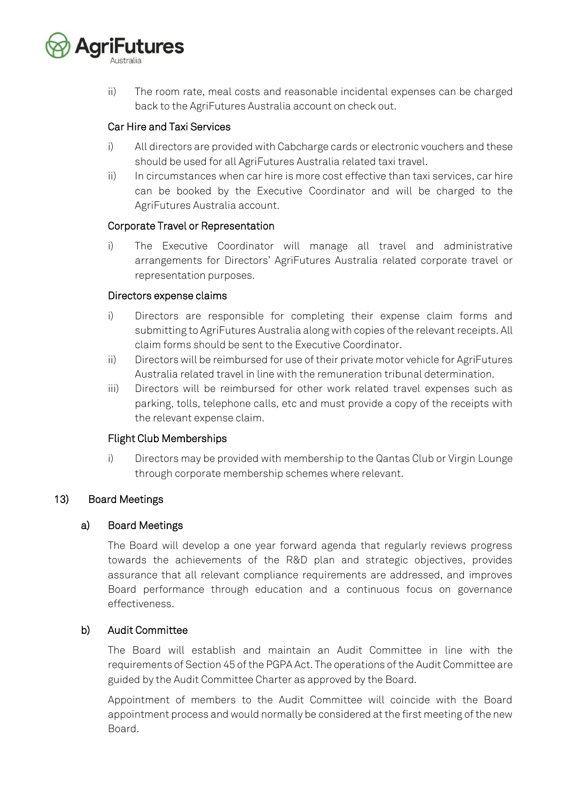

ii) The room rate, meal costs and reasonable incidental expenses can be charged back to the AgriFutures Australia account on check out.

# Car Hire and Taxi Services

- i) All directors are provided with Cabcharge cards or electronic vouchers and these should be used for all AgriFutures Australia related taxi travel.
- ii) In circumstances when car hire is more cost effective than taxi services, car hire can be booked by the Executive Coordinator and will be charged to the AgriFutures Australia account.

#### Corporate Travel or Representation

i) The Executive Coordinator will manage all travel and administrative arrangements for Directors' AgriFutures Australia related corporate travel or representation purposes.

#### Directors expense claims

- i) Directors are responsible for completing their expense claim forms and submitting to AgriFutures Australia along with copies of the relevant receipts. All claim forms should be sent to the Executive Coordinator.
- ii) Directors will be reimbursed for use of their private motor vehicle for AgriFutures Australia related travel in line with the remuneration tribunal determination.
- iii) Directors will be reimbursed for other work related travel expenses such as parking, tolls, telephone calls, etc and must provide a copy of the receipts with the relevant expense claim.

# Flight Club Memberships

i) Directors may be provided with membership to the Qantas Club or Virgin Lounge through corporate membership schemes where relevant.

# 13) Board Meetings

# a) Board Meetings

The Board will develop a one year forward agenda that regularly reviews progress towards the achievements of the R&D plan and strategic objectives, provides assurance that all relevant compliance requirements are addressed, and improves Board performance through education and a continuous focus on governance effectiveness.

# b) Audit Committee

The Board will establish and maintain an Audit Committee in line with the requirements of Section 45 of the PGPA Act. The operations of the Audit Committee are guided by the Audit Committee Charter as approved by the Board.

Appointment of members to the Audit Committee will coincide with the Board appointment process and would normally be considered at the first meeting of the new Board.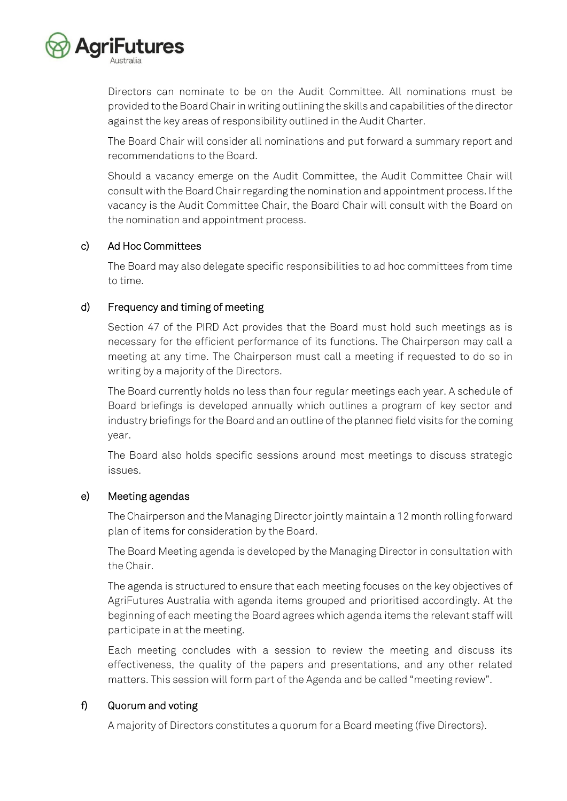

Directors can nominate to be on the Audit Committee. All nominations must be provided to the Board Chair in writing outlining the skills and capabilities of the director against the key areas of responsibility outlined in the Audit Charter.

The Board Chair will consider all nominations and put forward a summary report and recommendations to the Board.

Should a vacancy emerge on the Audit Committee, the Audit Committee Chair will consult with the Board Chair regarding the nomination and appointment process. If the vacancy is the Audit Committee Chair, the Board Chair will consult with the Board on the nomination and appointment process.

# c) Ad Hoc Committees

The Board may also delegate specific responsibilities to ad hoc committees from time to time.

# d) Frequency and timing of meeting

Section 47 of the PIRD Act provides that the Board must hold such meetings as is necessary for the efficient performance of its functions. The Chairperson may call a meeting at any time. The Chairperson must call a meeting if requested to do so in writing by a majority of the Directors.

The Board currently holds no less than four regular meetings each year. A schedule of Board briefings is developed annually which outlines a program of key sector and industry briefings for the Board and an outline of the planned field visits for the coming year.

The Board also holds specific sessions around most meetings to discuss strategic issues.

# e) Meeting agendas

The Chairperson and the Managing Director jointly maintain a 12 month rolling forward plan of items for consideration by the Board.

The Board Meeting agenda is developed by the Managing Director in consultation with the Chair.

The agenda is structured to ensure that each meeting focuses on the key objectives of AgriFutures Australia with agenda items grouped and prioritised accordingly. At the beginning of each meeting the Board agrees which agenda items the relevant staff will participate in at the meeting.

Each meeting concludes with a session to review the meeting and discuss its effectiveness, the quality of the papers and presentations, and any other related matters. This session will form part of the Agenda and be called "meeting review".

# f) Quorum and voting

A majority of Directors constitutes a quorum for a Board meeting (five Directors).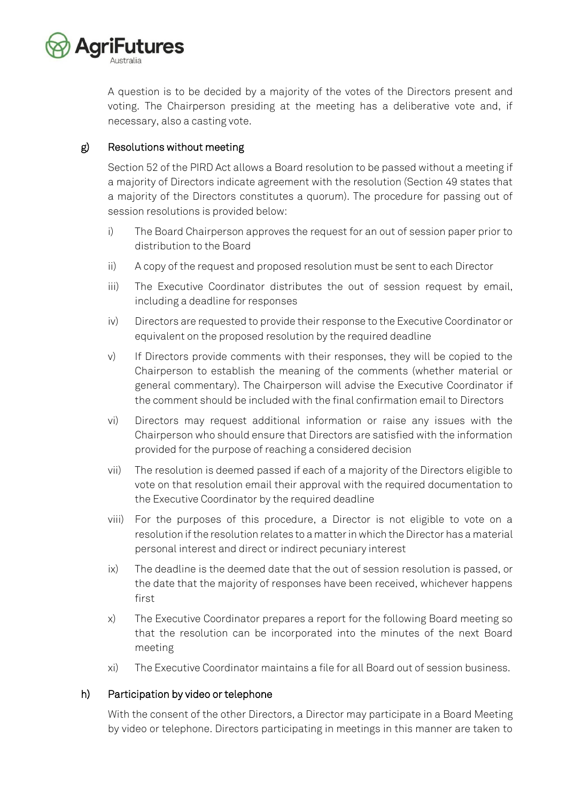

A question is to be decided by a majority of the votes of the Directors present and voting. The Chairperson presiding at the meeting has a deliberative vote and, if necessary, also a casting vote.

# g) Resolutions without meeting

Section 52 of the PIRD Act allows a Board resolution to be passed without a meeting if a majority of Directors indicate agreement with the resolution (Section 49 states that a majority of the Directors constitutes a quorum). The procedure for passing out of session resolutions is provided below:

- i) The Board Chairperson approves the request for an out of session paper prior to distribution to the Board
- ii) A copy of the request and proposed resolution must be sent to each Director
- iii) The Executive Coordinator distributes the out of session request by email, including a deadline for responses
- iv) Directors are requested to provide their response to the Executive Coordinator or equivalent on the proposed resolution by the required deadline
- v) If Directors provide comments with their responses, they will be copied to the Chairperson to establish the meaning of the comments (whether material or general commentary). The Chairperson will advise the Executive Coordinator if the comment should be included with the final confirmation email to Directors
- vi) Directors may request additional information or raise any issues with the Chairperson who should ensure that Directors are satisfied with the information provided for the purpose of reaching a considered decision
- vii) The resolution is deemed passed if each of a majority of the Directors eligible to vote on that resolution email their approval with the required documentation to the Executive Coordinator by the required deadline
- viii) For the purposes of this procedure, a Director is not eligible to vote on a resolution if the resolution relates to a matter in which the Director has a material personal interest and direct or indirect pecuniary interest
- ix) The deadline is the deemed date that the out of session resolution is passed, or the date that the majority of responses have been received, whichever happens first
- x) The Executive Coordinator prepares a report for the following Board meeting so that the resolution can be incorporated into the minutes of the next Board meeting
- xi) The Executive Coordinator maintains a file for all Board out of session business.

# h) Participation by video or telephone

With the consent of the other Directors, a Director may participate in a Board Meeting by video or telephone. Directors participating in meetings in this manner are taken to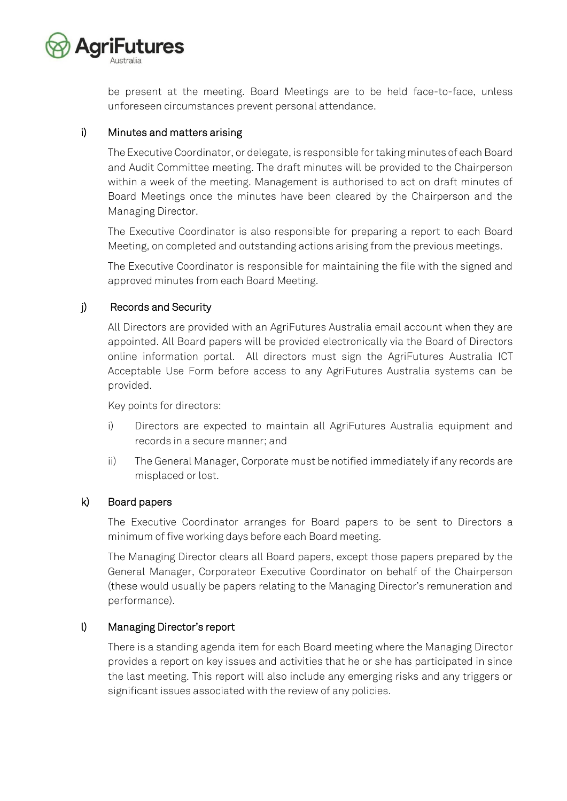

be present at the meeting. Board Meetings are to be held face-to-face, unless unforeseen circumstances prevent personal attendance.

# i) Minutes and matters arising

The Executive Coordinator, or delegate, is responsible for taking minutes of each Board and Audit Committee meeting. The draft minutes will be provided to the Chairperson within a week of the meeting. Management is authorised to act on draft minutes of Board Meetings once the minutes have been cleared by the Chairperson and the Managing Director.

The Executive Coordinator is also responsible for preparing a report to each Board Meeting, on completed and outstanding actions arising from the previous meetings.

The Executive Coordinator is responsible for maintaining the file with the signed and approved minutes from each Board Meeting.

# j) Records and Security

All Directors are provided with an AgriFutures Australia email account when they are appointed. All Board papers will be provided electronically via the Board of Directors online information portal. All directors must sign the AgriFutures Australia ICT Acceptable Use Form before access to any AgriFutures Australia systems can be provided.

Key points for directors:

- i) Directors are expected to maintain all AgriFutures Australia equipment and records in a secure manner; and
- ii) The General Manager, Corporate must be notified immediately if any records are misplaced or lost.

# k) Board papers

The Executive Coordinator arranges for Board papers to be sent to Directors a minimum of five working days before each Board meeting.

The Managing Director clears all Board papers, except those papers prepared by the General Manager, Corporateor Executive Coordinator on behalf of the Chairperson (these would usually be papers relating to the Managing Director's remuneration and performance).

# l) Managing Director's report

There is a standing agenda item for each Board meeting where the Managing Director provides a report on key issues and activities that he or she has participated in since the last meeting. This report will also include any emerging risks and any triggers or significant issues associated with the review of any policies.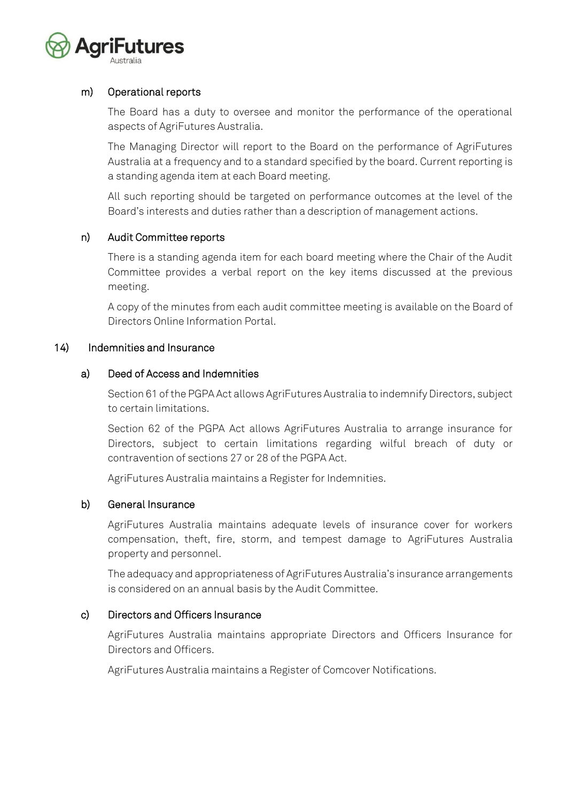

#### m) Operational reports

The Board has a duty to oversee and monitor the performance of the operational aspects of AgriFutures Australia.

The Managing Director will report to the Board on the performance of AgriFutures Australia at a frequency and to a standard specified by the board. Current reporting is a standing agenda item at each Board meeting.

All such reporting should be targeted on performance outcomes at the level of the Board's interests and duties rather than a description of management actions.

# n) Audit Committee reports

There is a standing agenda item for each board meeting where the Chair of the Audit Committee provides a verbal report on the key items discussed at the previous meeting.

A copy of the minutes from each audit committee meeting is available on the Board of Directors Online Information Portal.

#### 14) Indemnities and Insurance

#### a) Deed of Access and Indemnities

Section 61 of the PGPA Act allows AgriFutures Australia to indemnify Directors, subject to certain limitations.

Section 62 of the PGPA Act allows AgriFutures Australia to arrange insurance for Directors, subject to certain limitations regarding wilful breach of duty or contravention of sections 27 or 28 of the PGPA Act.

AgriFutures Australia maintains a Register for Indemnities.

# b) General Insurance

AgriFutures Australia maintains adequate levels of insurance cover for workers compensation, theft, fire, storm, and tempest damage to AgriFutures Australia property and personnel.

The adequacy and appropriateness of AgriFutures Australia's insurance arrangements is considered on an annual basis by the Audit Committee.

#### c) Directors and Officers Insurance

AgriFutures Australia maintains appropriate Directors and Officers Insurance for Directors and Officers.

AgriFutures Australia maintains a Register of Comcover Notifications.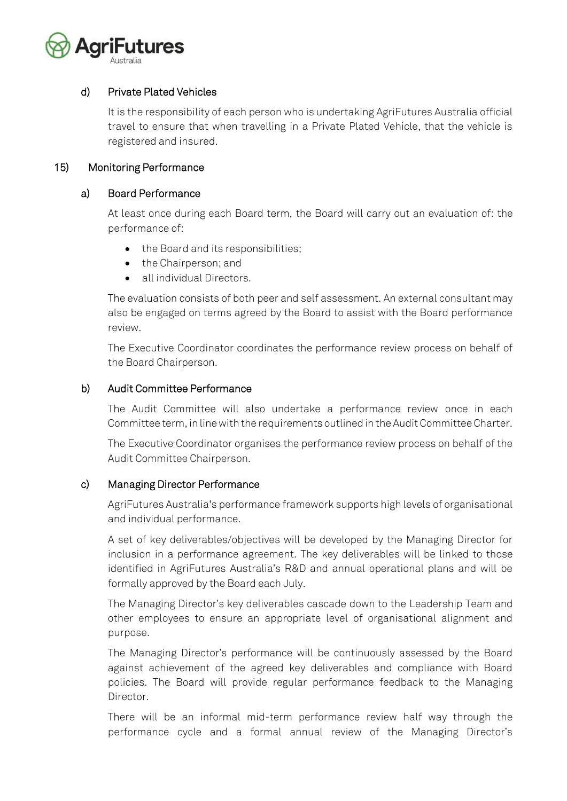

# d) Private Plated Vehicles

It is the responsibility of each person who is undertaking AgriFutures Australia official travel to ensure that when travelling in a Private Plated Vehicle, that the vehicle is registered and insured.

#### 15) Monitoring Performance

#### a) Board Performance

At least once during each Board term, the Board will carry out an evaluation of: the performance of:

- the Board and its responsibilities;
- the Chairperson; and
- all individual Directors.

The evaluation consists of both peer and self assessment. An external consultant may also be engaged on terms agreed by the Board to assist with the Board performance review.

The Executive Coordinator coordinates the performance review process on behalf of the Board Chairperson.

#### b) Audit Committee Performance

The Audit Committee will also undertake a performance review once in each Committee term, in line with the requirements outlined in the Audit Committee Charter.

The Executive Coordinator organises the performance review process on behalf of the Audit Committee Chairperson.

# c) Managing Director Performance

AgriFutures Australia's performance framework supports high levels of organisational and individual performance.

A set of key deliverables/objectives will be developed by the Managing Director for inclusion in a performance agreement. The key deliverables will be linked to those identified in AgriFutures Australia's R&D and annual operational plans and will be formally approved by the Board each July.

The Managing Director's key deliverables cascade down to the Leadership Team and other employees to ensure an appropriate level of organisational alignment and purpose.

The Managing Director's performance will be continuously assessed by the Board against achievement of the agreed key deliverables and compliance with Board policies. The Board will provide regular performance feedback to the Managing Director.

There will be an informal mid-term performance review half way through the performance cycle and a formal annual review of the Managing Director's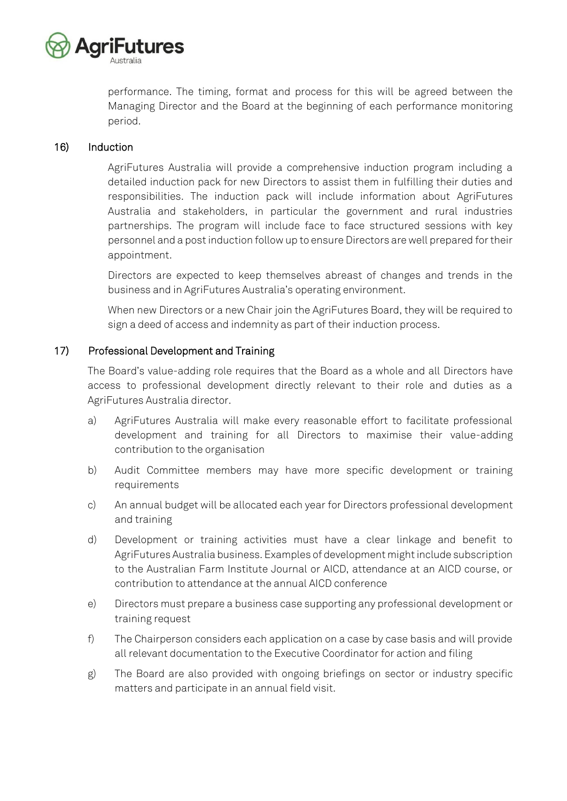

performance. The timing, format and process for this will be agreed between the Managing Director and the Board at the beginning of each performance monitoring period.

#### 16) Induction

AgriFutures Australia will provide a comprehensive induction program including a detailed induction pack for new Directors to assist them in fulfilling their duties and responsibilities. The induction pack will include information about AgriFutures Australia and stakeholders, in particular the government and rural industries partnerships. The program will include face to face structured sessions with key personnel and a post induction follow up to ensure Directors are well prepared for their appointment.

Directors are expected to keep themselves abreast of changes and trends in the business and in AgriFutures Australia's operating environment.

When new Directors or a new Chair join the AgriFutures Board, they will be required to sign a deed of access and indemnity as part of their induction process.

# 17) Professional Development and Training

The Board's value-adding role requires that the Board as a whole and all Directors have access to professional development directly relevant to their role and duties as a AgriFutures Australia director.

- a) AgriFutures Australia will make every reasonable effort to facilitate professional development and training for all Directors to maximise their value-adding contribution to the organisation
- b) Audit Committee members may have more specific development or training requirements
- c) An annual budget will be allocated each year for Directors professional development and training
- d) Development or training activities must have a clear linkage and benefit to AgriFutures Australia business. Examples of development might include subscription to the Australian Farm Institute Journal or AICD, attendance at an AICD course, or contribution to attendance at the annual AICD conference
- e) Directors must prepare a business case supporting any professional development or training request
- f) The Chairperson considers each application on a case by case basis and will provide all relevant documentation to the Executive Coordinator for action and filing
- g) The Board are also provided with ongoing briefings on sector or industry specific matters and participate in an annual field visit.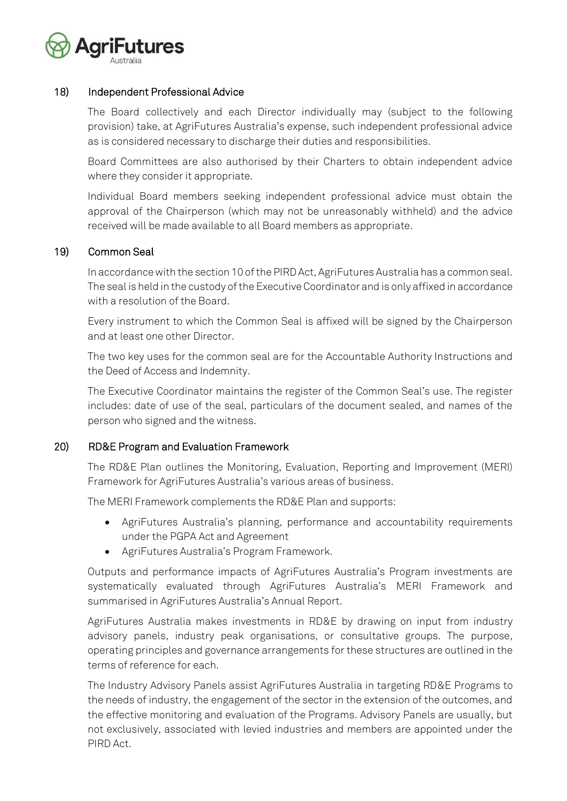

#### 18) Independent Professional Advice

The Board collectively and each Director individually may (subject to the following provision) take, at AgriFutures Australia's expense, such independent professional advice as is considered necessary to discharge their duties and responsibilities.

Board Committees are also authorised by their Charters to obtain independent advice where they consider it appropriate.

Individual Board members seeking independent professional advice must obtain the approval of the Chairperson (which may not be unreasonably withheld) and the advice received will be made available to all Board members as appropriate.

#### 19) Common Seal

In accordance with the section 10 of the PIRD Act, AgriFutures Australia has a common seal. The seal is held in the custody of the Executive Coordinator and is only affixed in accordance with a resolution of the Board.

Every instrument to which the Common Seal is affixed will be signed by the Chairperson and at least one other Director.

The two key uses for the common seal are for the Accountable Authority Instructions and the Deed of Access and Indemnity.

The Executive Coordinator maintains the register of the Common Seal's use. The register includes: date of use of the seal, particulars of the document sealed, and names of the person who signed and the witness.

#### 20) RD&E Program and Evaluation Framework

The RD&E Plan outlines the Monitoring, Evaluation, Reporting and Improvement (MERI) Framework for AgriFutures Australia's various areas of business.

The MERI Framework complements the RD&E Plan and supports:

- AgriFutures Australia's planning, performance and accountability requirements under the PGPA Act and Agreement
- AgriFutures Australia's Program Framework.

Outputs and performance impacts of AgriFutures Australia's Program investments are systematically evaluated through AgriFutures Australia's MERI Framework and summarised in AgriFutures Australia's Annual Report.

AgriFutures Australia makes investments in RD&E by drawing on input from industry advisory panels, industry peak organisations, or consultative groups. The purpose, operating principles and governance arrangements for these structures are outlined in the terms of reference for each.

The Industry Advisory Panels assist AgriFutures Australia in targeting RD&E Programs to the needs of industry, the engagement of the sector in the extension of the outcomes, and the effective monitoring and evaluation of the Programs. Advisory Panels are usually, but not exclusively, associated with levied industries and members are appointed under the PIRD Act.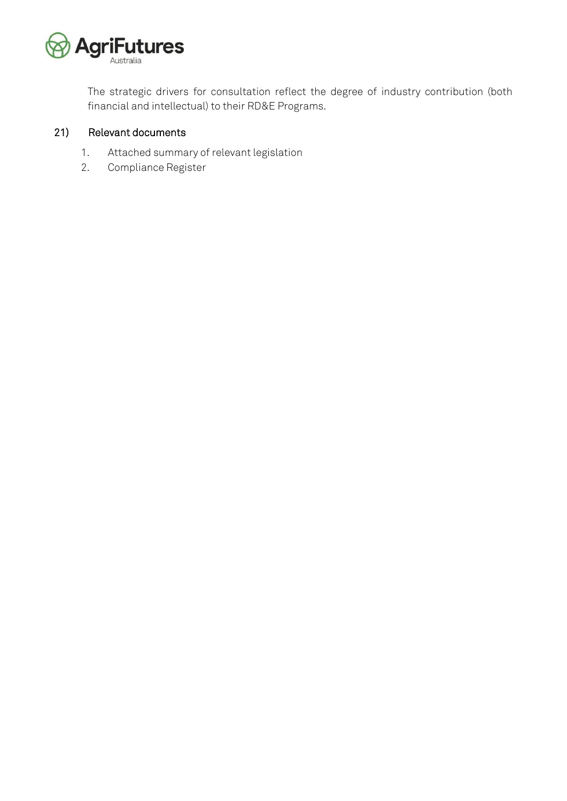

The strategic drivers for consultation reflect the degree of industry contribution (both financial and intellectual) to their RD&E Programs.

# 21) Relevant documents

- 1. Attached summary of relevant legislation
- 2. Compliance Register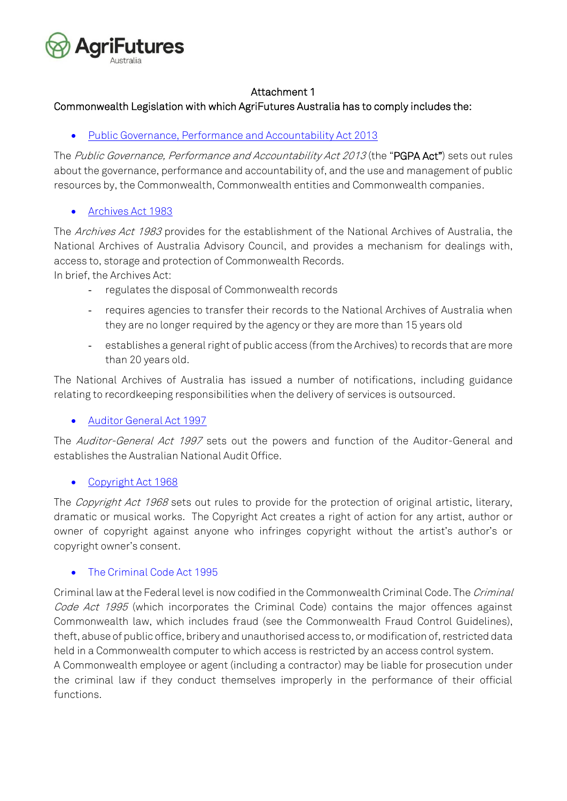

# Attachment 1

# Commonwealth Legislation with which AgriFutures Australia has to comply includes the:

• [Public](http://www.comlaw.gov.au/ComLaw/legislation/actcompilation1.nsf/current/bytitle/822DC8C18FC65306CA2575F9000C8A39?OpenDocument&mostrecent=1) Governance, Performance and Accountability Act 2013

The Public Governance, Performance and Accountability Act 2013 (the "PGPA Act") sets out rules about the governance, performance and accountability of, and the use and management of public resources by, the Commonwealth, Commonwealth entities and Commonwealth companies.

# • [Archives Act 1983](http://scaleplus.law.gov.au/html/pasteact/0/6/top.htm)

The Archives Act 1983 provides for the establishment of the National Archives of Australia, the National Archives of Australia Advisory Council, and provides a mechanism for dealings with, access to, storage and protection of Commonwealth Records.

In brief, the Archives Act:

- regulates the disposal of Commonwealth records
- requires agencies to transfer their records to the National Archives of Australia when they are no longer required by the agency or they are more than 15 years old
- establishes a general right of public access (from the Archives) to records that are more than 20 years old.

The National Archives of Australia has issued a number of notifications, including guidance relating to recordkeeping responsibilities when the delivery of services is outsourced.

# • [Auditor General Act 1997](http://scaletext.law.gov.au/html/pasteact/2/3066/top.htm)

The Auditor-General Act 1997 sets out the powers and function of the Auditor-General and establishes the Australian National Audit Office.

# • [Copyright Act 1968](http://www.comlaw.gov.au/ComLaw/Legislation/ActCompilation1.nsf/current/bytitle/67428690F96DA513CA2576F0002212CE?OpenDocument&mostrecent=1)

The Copyright Act 1968 sets out rules to provide for the protection of original artistic, literary, dramatic or musical works. The Copyright Act creates a right of action for any artist, author or owner of copyright against anyone who infringes copyright without the artist's author's or copyright owner's consent.

# • [The Criminal Code Act 1995](http://www.comlaw.gov.au/Series/C1914A00012)

Criminal law at the Federal level is now codified in the Commonwealth Criminal Code. The Criminal Code Act 1995 (which incorporates the Criminal Code) contains the major offences against Commonwealth law, which includes fraud (see the Commonwealth Fraud Control Guidelines), theft, abuse of public office, bribery and unauthorised access to, or modification of, restricted data held in a Commonwealth computer to which access is restricted by an access control system. A Commonwealth employee or agent (including a contractor) may be liable for prosecution under the criminal law if they conduct themselves improperly in the performance of their official functions.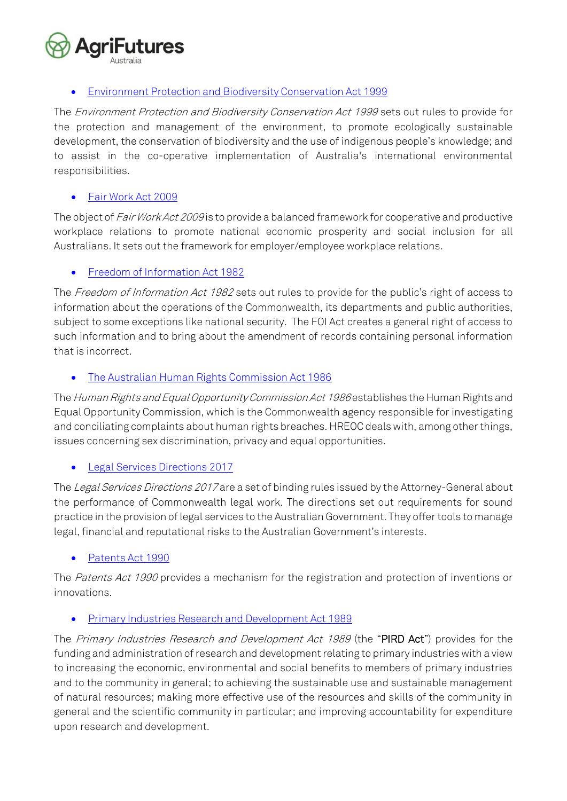

# • [Environment Protection and Biodiversity Conservation Act 1999](http://scaletext.law.gov.au/html/pasteact/3/3295/top.htm)

The Environment Protection and Biodiversity Conservation Act 1999 sets out rules to provide for the protection and management of the environment, to promote ecologically sustainable development, the conservation of biodiversity and the use of indigenous people's knowledge; and to assist in the co-operative implementation of Australia's international environmental responsibilities.

# • [Fair Work Act 2009](http://www.comlaw.gov.au/ComLaw/Legislation/ActCompilation1.nsf/0/00BE4DF390D13FB4CA257694000AE20A?OpenDocument)

The object of Fair Work Act 2009 is to provide a balanced framework for cooperative and productive workplace relations to promote national economic prosperity and social inclusion for all Australians. It sets out the framework for employer/employee workplace relations.

# • [Freedom of Information Act 1982](http://scaleplus.law.gov.au/html/pasteact/0/58/top.htm)

The Freedom of Information Act 1982 sets out rules to provide for the public's right of access to information about the operations of the Commonwealth, its departments and public authorities, subject to some exceptions like national security. The FOI Act creates a general right of access to such information and to bring about the amendment of records containing personal information that is incorrect.

# • The Australian [Human Rights Commission Act 1986](http://scaletext.law.gov.au/html/pasteact/0/265/top.htm)

The Human Rights and Equal Opportunity Commission Act 1986 establishes the Human Rights and Equal Opportunity Commission, which is the Commonwealth agency responsible for investigating and conciliating complaints about human rights breaches. HREOC deals with, among other things, issues concerning sex discrimination, privacy and equal opportunities.

# • [Legal Services Directions](https://www.legislation.gov.au/Details/F2017L00369) 2017

The Legal Services Directions 2017 are a set of binding rules issued by the Attorney-General about the performance of Commonwealth legal work. The directions set out requirements for sound practice in the provision of legal services to the Australian Government. They offer tools to manage legal, financial and reputational risks to the Australian Government's interests.

# [Patents Act 1990](http://scaleplus.law.gov.au/html/pasteact/1/545/top.htm)

The Patents Act 1990 provides a mechanism for the registration and protection of inventions or innovations.

# • [Primary Industries Research and Development Act 1989](http://www.comlaw.gov.au/ComLaw/Legislation/ActCompilation1.nsf/current/bytitle/C0024BAC8E0AA1DFCA2574820021F08E?OpenDocument&mostrecent=1)

The Primary Industries Research and Development Act 1989 (the "PIRD Act") provides for the funding and administration of research and development relating to primary industries with a view to increasing the economic, environmental and social benefits to members of primary industries and to the community in general; to achieving the sustainable use and sustainable management of natural resources; making more effective use of the resources and skills of the community in general and the scientific community in particular; and improving accountability for expenditure upon research and development.